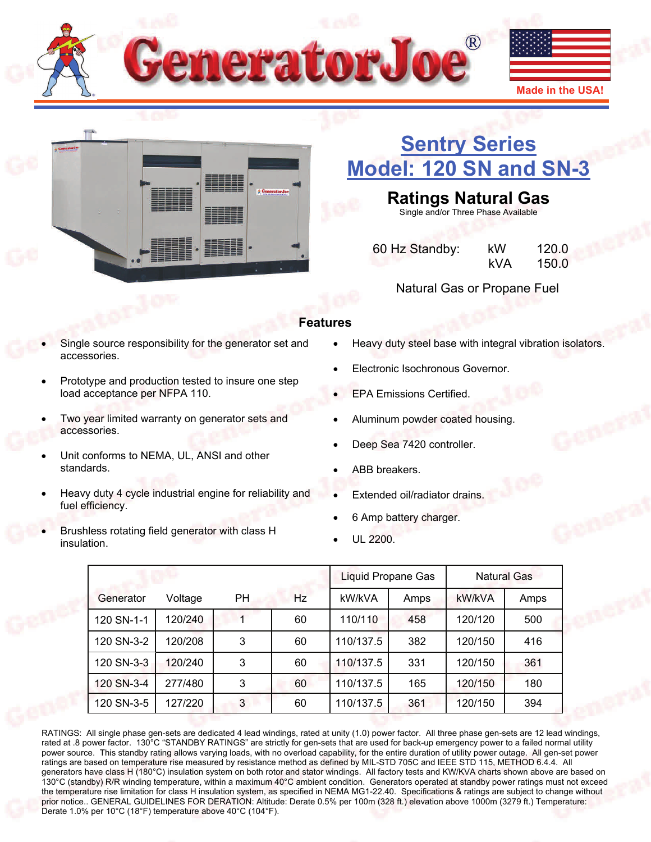



# **[Sentry Series](http://www.generatorjoe.net/product.asp?0=205&1=565&3=4367)  [Model: 120 SN and SN-3](http://www.generatorjoe.net/product.asp?0=205&1=565&3=4367)**

**Ratings Natural Gas** 

Single and/or Three Phase Available

 60 Hz Standby: kW 120.0  $kVA$  150.0

Natural Gas or Propane Fuel

### **Features**

- Single source responsibility for the generator set and accessories.
- Prototype and production tested to insure one step load acceptance per NFPA 110.
- Two year limited warranty on generator sets and accessories.
- Unit conforms to NEMA, UL, ANSI and other standards.
- Heavy duty 4 cycle industrial engine for reliability and fuel efficiency.
- Brushless rotating field generator with class H insulation.
- Heavy duty steel base with integral vibration isolators.
- Electronic Isochronous Governor.
- EPA Emissions Certified.
- Aluminum powder coated housing.
- Deep Sea 7420 controller.
- ABB breakers.
- Extended oil/radiator drains.
- 6 Amp battery charger.
- UL 2200.

|            | Liquid Propane Gas |           |    | <b>Natural Gas</b> |      |         |      |
|------------|--------------------|-----------|----|--------------------|------|---------|------|
| Generator  | Voltage            | <b>PH</b> | Hz | kW/kVA             | Amps | kW/kVA  | Amps |
| 120 SN-1-1 | 120/240            |           | 60 | 110/110            | 458  | 120/120 | 500  |
| 120 SN-3-2 | 120/208            | 3         | 60 | 110/137.5          | 382  | 120/150 | 416  |
| 120 SN-3-3 | 120/240            | 3         | 60 | 110/137.5          | 331  | 120/150 | 361  |
| 120 SN-3-4 | 277/480            | 3         | 60 | 110/137.5          | 165  | 120/150 | 180  |
| 120 SN-3-5 | 127/220            | 3         | 60 | 110/137.5          | 361  | 120/150 | 394  |

RATINGS: All single phase gen-sets are dedicated 4 lead windings, rated at unity (1.0) power factor. All three phase gen-sets are 12 lead windings, rated at .8 power factor. 130°C "STANDBY RATINGS" are strictly for gen-sets that are used for back-up emergency power to a failed normal utility power source. This standby rating allows varying loads, with no overload capability, for the entire duration of utility power outage. All gen-set power ratings are based on temperature rise measured by resistance method as defined by MIL-STD 705C and IEEE STD 115, METHOD 6.4.4. All generators have class H (180°C) insulation system on both rotor and stator windings. All factory tests and KW/KVA charts shown above are based on 130°C (standby) R/R winding temperature, within a maximum 40°C ambient condition. Generators operated at standby power ratings must not exceed the temperature rise limitation for class H insulation system, as specified in NEMA MG1-22.40. Specifications & ratings are subject to change without prior notice.. GENERAL GUIDELINES FOR DERATION: Altitude: Derate 0.5% per 100m (328 ft.) elevation above 1000m (3279 ft.) Temperature: Derate 1.0% per 10°C (18°F) temperature above 40°C (104°F).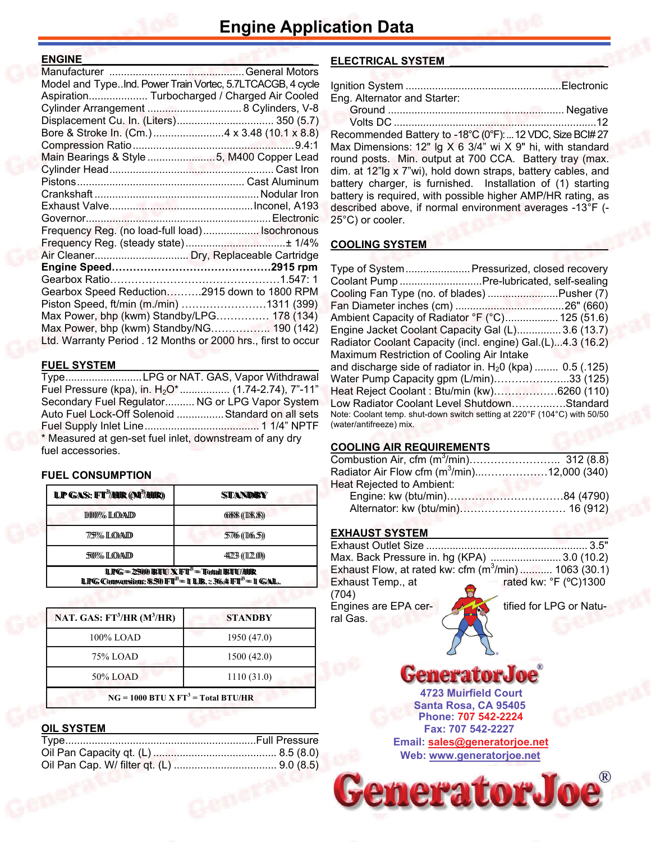#### **ENGINE\_\_\_\_\_\_\_\_\_\_\_\_\_\_\_\_\_\_\_\_\_\_\_\_\_\_\_\_\_\_\_\_\_\_\_\_\_\_\_**

| Model and TypeInd. Power Train Vortec, 5.7LTCACGB, 4 cycle    |  |
|---------------------------------------------------------------|--|
| Aspiration Turbocharged / Charged Air Cooled                  |  |
| Cylinder Arrangement  8 Cylinders, V-8                        |  |
| Displacement Cu. In. (Liters) 350 (5.7)                       |  |
|                                                               |  |
|                                                               |  |
| Main Bearings & Style 5, M400 Copper Lead                     |  |
|                                                               |  |
|                                                               |  |
|                                                               |  |
|                                                               |  |
|                                                               |  |
| Frequency Reg. (no load-full load) Isochronous                |  |
|                                                               |  |
|                                                               |  |
|                                                               |  |
|                                                               |  |
| Gearbox Speed Reduction2915 down to 1800 RPM                  |  |
| Piston Speed, ft/min (m./min) 1311 (399)                      |  |
| Max Power, bhp (kwm) Standby/LPG 178 (134)                    |  |
| Max Power, bhp (kwm) Standby/NG 190 (142)                     |  |
| Ltd. Warranty Period . 12 Months or 2000 hrs., first to occur |  |
|                                                               |  |

#### **FUEL SYSTEM \_\_\_\_\_\_\_\_\_\_\_\_\_\_\_\_\_\_\_\_\_\_\_\_\_\_\_\_\_\_\_\_\_**

Type .......................... LPG or NAT. GAS, Vapor Withdrawal Fuel Pressure (kpa), in.  $H_2O^*$ ................. (1.74-2.74), 7"-11" Secondary Fuel Regulator .......... NG or LPG Vapor System Auto Fuel Lock-Off Solenoid ................ Standard on all sets Fuel Supply Inlet Line ....................................... 1 1/4" NPTF \* Measured at gen-set fuel inlet, downstream of any dry fuel accessories.

#### **FUEL CONSUMPTION**

| <b>LP GAS: FT<sup>3</sup>/HIR (M<sup>3</sup>/HIR)</b>                                                                                      | STANDBY        |  |  |
|--------------------------------------------------------------------------------------------------------------------------------------------|----------------|--|--|
| 1000% LOAD                                                                                                                                 | 6888(118.8)    |  |  |
| 775% ILOAID                                                                                                                                | 57766 ((1165)) |  |  |
| 500% ILOAND                                                                                                                                | 44223 ((12.0)) |  |  |
| <b>LPG = 2500 BIU X FT<sup>3</sup> = Total BIU/HR</b><br><b>LPG Convension: 8.50 FT<sup>3</sup> = 1 LB.:: 36.4 FT<sup>3</sup> = 1 GAL.</b> |                |  |  |

| NAT. GAS: $FT^3/HR$ (M <sup>3</sup> /HR) | <b>STANDBY</b> |  |  |
|------------------------------------------|----------------|--|--|
| 100% LOAD                                | 1950 (47.0)    |  |  |
| 75% LOAD                                 | 1500(42.0)     |  |  |
| 50% LOAD                                 | 1110(31.0)     |  |  |
| $NG = 1000 BTU X FT3 = Total BTU/HR$     |                |  |  |

#### **OIL SYSTEM**

#### **ELECTRICAL SYSTEM \_\_\_\_\_\_\_\_\_\_\_\_\_\_\_\_\_\_\_\_\_\_\_\_\_\_**

| Eng. Alternator and Starter: |  |
|------------------------------|--|
|                              |  |
| 11.4.52                      |  |

 Volts DC .....................................................................12 Recommended Battery to -18°C (0°F): ... 12 VDC, Size BC# 27 Max Dimensions: 12" lg X 6 3/4" wi X 9" hi, with standard round posts. Min. output at 700 CCA. Battery tray (max. dim. at 12"lg x 7"wi), hold down straps, battery cables, and battery charger, is furnished. Installation of (1) starting battery is required, with possible higher AMP/HR rating, as described above, if normal environment averages -13°F (- 25°C) or cooler.

#### **COOLING SYSTEM**

|                                           | Type of System Pressurized, closed recovery                              |
|-------------------------------------------|--------------------------------------------------------------------------|
|                                           | Coolant Pump  Pre-lubricated, self-sealing                               |
|                                           | Cooling Fan Type (no. of blades) Pusher (7)                              |
|                                           |                                                                          |
|                                           | Ambient Capacity of Radiator °F (°C) 125 (51.6)                          |
|                                           | Engine Jacket Coolant Capacity Gal (L) 3.6 (13.7)                        |
|                                           | Radiator Coolant Capacity (incl. engine) Gal.(L)4.3 (16.2)               |
| Maximum Restriction of Cooling Air Intake |                                                                          |
|                                           | and discharge side of radiator in. $H20$ (kpa)  0.5 (.125)               |
|                                           | Water Pump Capacity gpm (L/min)33 (125)                                  |
|                                           | Heat Reject Coolant: Btu/min (kw)6260 (110)                              |
|                                           | Low Radiator Coolant Level ShutdownStandard                              |
|                                           | Note: Coolant temp. shut-down switch setting at 220°F (104°C) with 50/50 |
| (water/antifreeze) mix.                   |                                                                          |

#### **COOLING AIR REQUIREMENTS**

| Radiator Air Flow cfm (m <sup>3</sup> /min)12,000 (340) |  |
|---------------------------------------------------------|--|
| Heat Rejected to Ambient:                               |  |
|                                                         |  |
|                                                         |  |

#### **EXHAUST SYSTEM**

|                                  | Max. Back Pressure in. hg (KPA) 3.0 (10.2)                        |
|----------------------------------|-------------------------------------------------------------------|
|                                  | Exhaust Flow, at rated kw: cfm (m <sup>3</sup> /min)  1063 (30.1) |
| Exhaust Temp., at<br>(704)       | rated kw: °F (°C)1300                                             |
| Engines are EPA cer-<br>ral Gas. | tified for LPG or Natu-                                           |

GeneratorJ **4723 Muirfield Court**

 $\frac{1}{\sqrt{2}}$ 

**Santa Rosa, CA 95405 Fax: 707 542-2227 Phone: 707 542-2224 Web: [www.generatorjoe.net](http://www.generatorjoe.net) Email: [sales@generatorjoe.net](mailto:sales@generatorjoe.net?subject=Your%20products)**

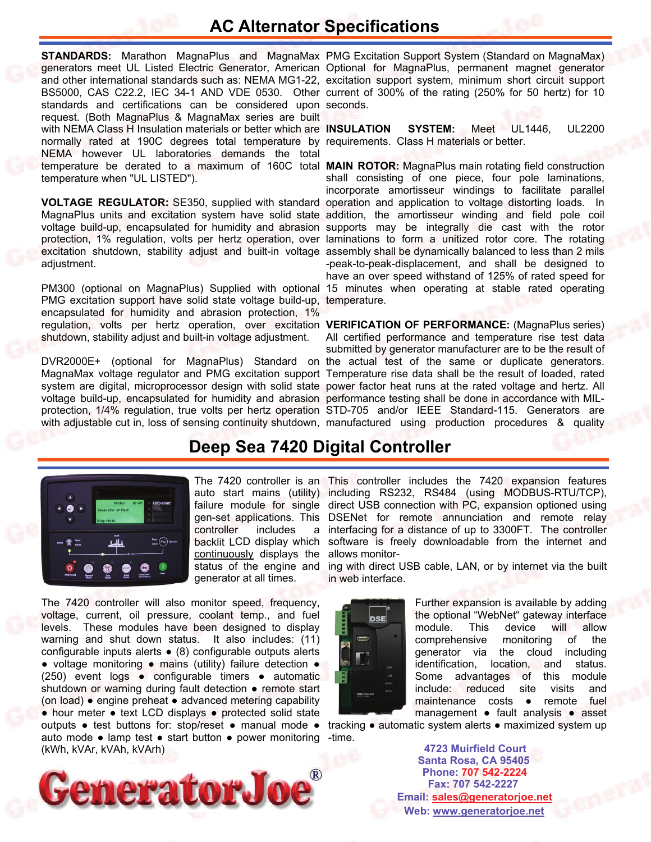# **AC Alternator Specifications**

standards and certifications can be considered upon seconds. request. (Both MagnaPlus & MagnaMax series are built normally rated at 190C degrees total temperature by requirements. Class H materials or better. NEMA however UL laboratories demands the total temperature be derated to a maximum of 160C total **MAIN ROTOR:** MagnaPlus main rotating field construction temperature when "UL LISTED").

excitation shutdown, stability adjust and built-in voltage assembly shall be dynamically balanced to less than 2 mils adjustment.

PMG excitation support have solid state voltage build-up, temperature. encapsulated for humidity and abrasion protection, 1% regulation, volts per hertz operation, over excitation **VERIFICATION OF PERFORMANCE:** (MagnaPlus series) shutdown, stability adjust and built-in voltage adjustment.

voltage build-up, encapsulated for humidity and abrasion performance testing shall be done in accordance with MIL-

**STANDARDS:** Marathon MagnaPlus and MagnaMax PMG Excitation Support System (Standard on MagnaMax) generators meet UL Listed Electric Generator, American Optional for MagnaPlus, permanent magnet generator and other international standards such as: NEMA MG1-22, excitation support system, minimum short circuit support BS5000, CAS C22.2, IEC 34-1 AND VDE 0530. Other current of 300% of the rating (250% for 50 hertz) for 10

with NEMA Class H Insulation materials or better which are **INSULATION SYSTEM:** Meet UL1446, UL2200

**VOLTAGE REGULATOR:** SE350, supplied with standard operation and application to voltage distorting loads. In MagnaPlus units and excitation system have solid state addition, the amortisseur winding and field pole coil voltage build-up, encapsulated for humidity and abrasion supports may be integrally die cast with the rotor protection, 1% regulation, volts per hertz operation, over laminations to form a unitized rotor core. The rotating PM300 (optional on MagnaPlus) Supplied with optional 15 minutes when operating at stable rated operating shall consisting of one piece, four pole laminations, incorporate amortisseur windings to facilitate parallel -peak-to-peak-displacement, and shall be designed to have an over speed withstand of 125% of rated speed for

DVR2000E+ (optional for MagnaPlus) Standard on the actual test of the same or duplicate generators. MagnaMax voltage regulator and PMG excitation support Temperature rise data shall be the result of loaded, rated system are digital, microprocessor design with solid state power factor heat runs at the rated voltage and hertz. All protection, 1/4% regulation, true volts per hertz operation STD-705 and/or IEEE Standard-115. Generators are with adjustable cut in, loss of sensing continuity shutdown, manufactured using production procedures & quality All certified performance and temperature rise test data submitted by generator manufacturer are to be the result of

## **Deep Sea 7420 Digital Controller**



controller includes backlit LCD display which continuously displays the status of the engine and generator at all times.

auto mode • lamp test • start button • power monitoring -time. The 7420 controller will also monitor speed, frequency, voltage, current, oil pressure, coolant temp., and fuel levels. These modules have been designed to display warning and shut down status. It also includes: (11) configurable inputs alerts ● (8) configurable outputs alerts ● voltage monitoring ● mains (utility) failure detection ● (250) event logs ● configurable timers ● automatic shutdown or warning during fault detection • remote start (on load) ● engine preheat ● advanced metering capability ● hour meter ● text LCD displays ● protected solid state outputs ● test buttons for: stop/reset ● manual mode ● (kWh, kVAr, kVAh, kVArh)



The 7420 controller is an This controller includes the 7420 expansion features auto start mains (utility) including RS232, RS484 (using MODBUS-RTU/TCP), failure module for single direct USB connection with PC, expansion optioned using gen-set applications. This DSENet for remote annunciation and remote relay a interfacing for a distance of up to 3300FT. The controller software is freely downloadable from the internet and allows monitor-

> ing with direct USB cable, LAN, or by internet via the built in web interface.



Further expansion is available by adding the optional "WebNet" gateway interface module. This device will allow comprehensive monitoring of the generator via the cloud including identification, location, and status. Some advantages of this module include: reduced site visits and maintenance costs ● remote fuel management ● fault analysis ● asset

tracking ● automatic system alerts ● maximized system up

**Santa Rosa, CA 95405 4723 Muirfield Court Fax: 707 542-2227 Phone: 707 542-2224 Web: [www.generatorjoe.net](http://www.generatorjoe.net)  Email: [sales@generatorjoe.net](mailto:sales@generatorjoe.net?subject=Your%20products)**